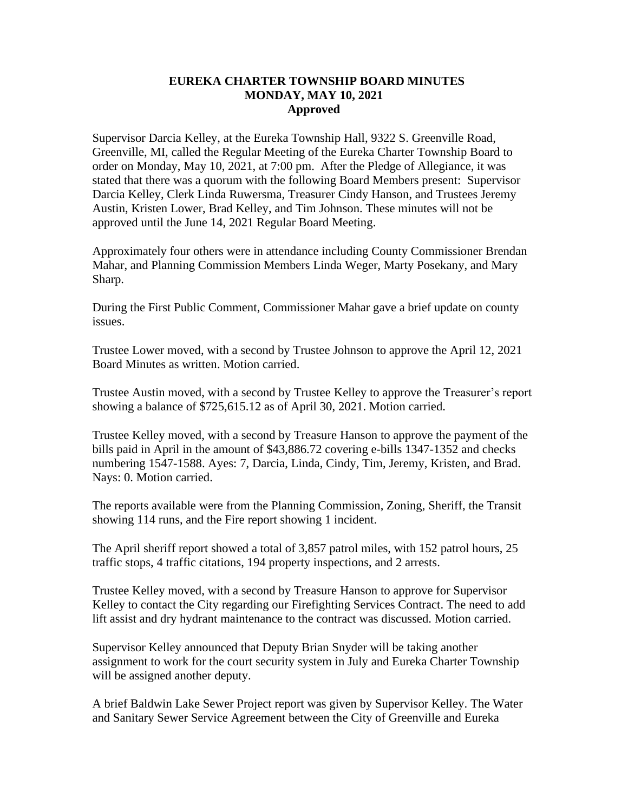## **EUREKA CHARTER TOWNSHIP BOARD MINUTES MONDAY, MAY 10, 2021 Approved**

Supervisor Darcia Kelley, at the Eureka Township Hall, 9322 S. Greenville Road, Greenville, MI, called the Regular Meeting of the Eureka Charter Township Board to order on Monday, May 10, 2021, at 7:00 pm. After the Pledge of Allegiance, it was stated that there was a quorum with the following Board Members present: Supervisor Darcia Kelley, Clerk Linda Ruwersma, Treasurer Cindy Hanson, and Trustees Jeremy Austin, Kristen Lower, Brad Kelley, and Tim Johnson. These minutes will not be approved until the June 14, 2021 Regular Board Meeting.

Approximately four others were in attendance including County Commissioner Brendan Mahar, and Planning Commission Members Linda Weger, Marty Posekany, and Mary Sharp.

During the First Public Comment, Commissioner Mahar gave a brief update on county issues.

Trustee Lower moved, with a second by Trustee Johnson to approve the April 12, 2021 Board Minutes as written. Motion carried.

Trustee Austin moved, with a second by Trustee Kelley to approve the Treasurer's report showing a balance of \$725,615.12 as of April 30, 2021. Motion carried.

Trustee Kelley moved, with a second by Treasure Hanson to approve the payment of the bills paid in April in the amount of \$43,886.72 covering e-bills 1347-1352 and checks numbering 1547-1588. Ayes: 7, Darcia, Linda, Cindy, Tim, Jeremy, Kristen, and Brad. Nays: 0. Motion carried.

The reports available were from the Planning Commission, Zoning, Sheriff, the Transit showing 114 runs, and the Fire report showing 1 incident.

The April sheriff report showed a total of 3,857 patrol miles, with 152 patrol hours, 25 traffic stops, 4 traffic citations, 194 property inspections, and 2 arrests.

Trustee Kelley moved, with a second by Treasure Hanson to approve for Supervisor Kelley to contact the City regarding our Firefighting Services Contract. The need to add lift assist and dry hydrant maintenance to the contract was discussed. Motion carried.

Supervisor Kelley announced that Deputy Brian Snyder will be taking another assignment to work for the court security system in July and Eureka Charter Township will be assigned another deputy.

A brief Baldwin Lake Sewer Project report was given by Supervisor Kelley. The Water and Sanitary Sewer Service Agreement between the City of Greenville and Eureka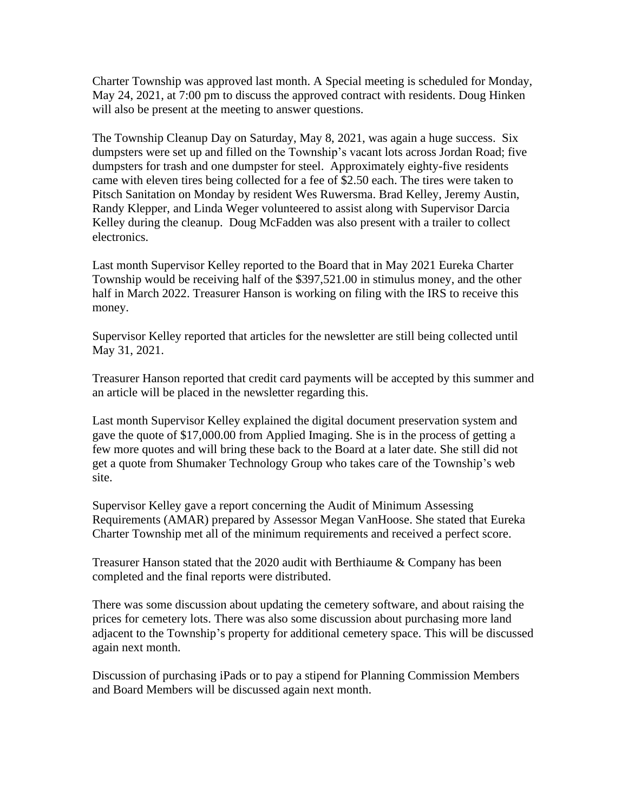Charter Township was approved last month. A Special meeting is scheduled for Monday, May 24, 2021, at 7:00 pm to discuss the approved contract with residents. Doug Hinken will also be present at the meeting to answer questions.

The Township Cleanup Day on Saturday, May 8, 2021, was again a huge success. Six dumpsters were set up and filled on the Township's vacant lots across Jordan Road; five dumpsters for trash and one dumpster for steel. Approximately eighty-five residents came with eleven tires being collected for a fee of \$2.50 each. The tires were taken to Pitsch Sanitation on Monday by resident Wes Ruwersma. Brad Kelley, Jeremy Austin, Randy Klepper, and Linda Weger volunteered to assist along with Supervisor Darcia Kelley during the cleanup. Doug McFadden was also present with a trailer to collect electronics.

Last month Supervisor Kelley reported to the Board that in May 2021 Eureka Charter Township would be receiving half of the \$397,521.00 in stimulus money, and the other half in March 2022. Treasurer Hanson is working on filing with the IRS to receive this money.

Supervisor Kelley reported that articles for the newsletter are still being collected until May 31, 2021.

Treasurer Hanson reported that credit card payments will be accepted by this summer and an article will be placed in the newsletter regarding this.

Last month Supervisor Kelley explained the digital document preservation system and gave the quote of \$17,000.00 from Applied Imaging. She is in the process of getting a few more quotes and will bring these back to the Board at a later date. She still did not get a quote from Shumaker Technology Group who takes care of the Township's web site.

Supervisor Kelley gave a report concerning the Audit of Minimum Assessing Requirements (AMAR) prepared by Assessor Megan VanHoose. She stated that Eureka Charter Township met all of the minimum requirements and received a perfect score.

Treasurer Hanson stated that the 2020 audit with Berthiaume & Company has been completed and the final reports were distributed.

There was some discussion about updating the cemetery software, and about raising the prices for cemetery lots. There was also some discussion about purchasing more land adjacent to the Township's property for additional cemetery space. This will be discussed again next month.

Discussion of purchasing iPads or to pay a stipend for Planning Commission Members and Board Members will be discussed again next month.